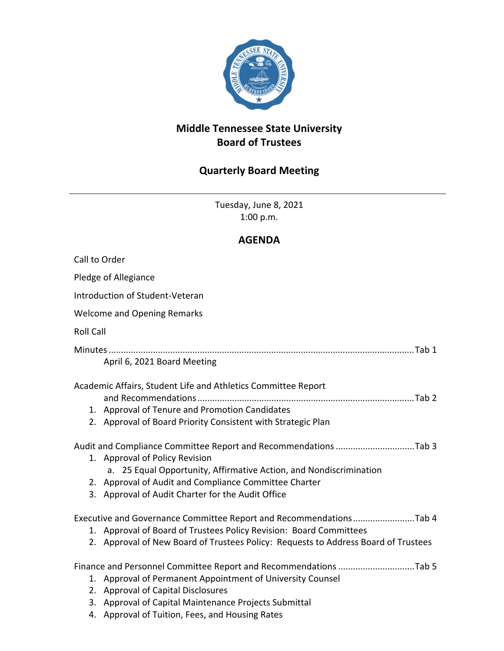

## **Middle Tennessee State University Board of Trustees**

## **Quarterly Board Meeting**

Tuesday, June 8, 2021 1:00 p.m.

## **AGENDA**

| Call to Order                                                                      |  |
|------------------------------------------------------------------------------------|--|
| Pledge of Allegiance                                                               |  |
| Introduction of Student-Veteran                                                    |  |
| <b>Welcome and Opening Remarks</b>                                                 |  |
| <b>Roll Call</b>                                                                   |  |
|                                                                                    |  |
| April 6, 2021 Board Meeting                                                        |  |
| Academic Affairs, Student Life and Athletics Committee Report                      |  |
|                                                                                    |  |
| 1. Approval of Tenure and Promotion Candidates                                     |  |
| 2. Approval of Board Priority Consistent with Strategic Plan                       |  |
| Audit and Compliance Committee Report and Recommendations Tab 3                    |  |
| 1. Approval of Policy Revision                                                     |  |
| a. 25 Equal Opportunity, Affirmative Action, and Nondiscrimination                 |  |
| 2. Approval of Audit and Compliance Committee Charter                              |  |
| 3. Approval of Audit Charter for the Audit Office                                  |  |
| Executive and Governance Committee Report and RecommendationsTab 4                 |  |
| 1. Approval of Board of Trustees Policy Revision: Board Committees                 |  |
| 2. Approval of New Board of Trustees Policy: Requests to Address Board of Trustees |  |
| Finance and Personnel Committee Report and Recommendations Tab 5                   |  |
| 1. Approval of Permanent Appointment of University Counsel                         |  |
| 2. Approval of Capital Disclosures                                                 |  |
| 3. Approval of Capital Maintenance Projects Submittal                              |  |
| 4. Approval of Tuition, Fees, and Housing Rates                                    |  |